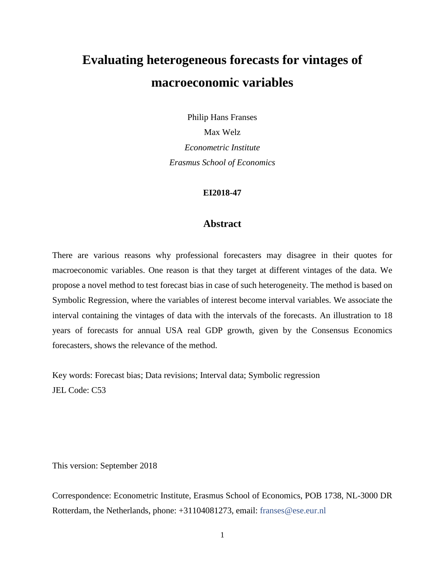# **Evaluating heterogeneous forecasts for vintages of macroeconomic variables**

Philip Hans Franses Max Welz *Econometric Institute Erasmus School of Economics*

#### **EI2018-47**

# **Abstract**

There are various reasons why professional forecasters may disagree in their quotes for macroeconomic variables. One reason is that they target at different vintages of the data. We propose a novel method to test forecast bias in case of such heterogeneity. The method is based on Symbolic Regression, where the variables of interest become interval variables. We associate the interval containing the vintages of data with the intervals of the forecasts. An illustration to 18 years of forecasts for annual USA real GDP growth, given by the Consensus Economics forecasters, shows the relevance of the method.

Key words: Forecast bias; Data revisions; Interval data; Symbolic regression JEL Code: C53

This version: September 2018

Correspondence: Econometric Institute, Erasmus School of Economics, POB 1738, NL-3000 DR Rotterdam, the Netherlands, phone: +31104081273, email: [franses@ese.eur.nl](mailto:franses@ese.eur.nl)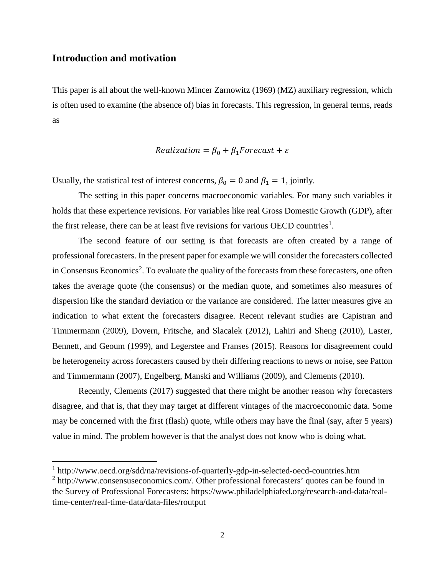# **Introduction and motivation**

 $\overline{\phantom{a}}$ 

This paper is all about the well-known Mincer Zarnowitz (1969) (MZ) auxiliary regression, which is often used to examine (the absence of) bias in forecasts. This regression, in general terms, reads as

#### $Realization = \beta_0 + \beta_1 Forest + \varepsilon$

Usually, the statistical test of interest concerns,  $\beta_0 = 0$  and  $\beta_1 = 1$ , jointly.

The setting in this paper concerns macroeconomic variables. For many such variables it holds that these experience revisions. For variables like real Gross Domestic Growth (GDP), after the first release, there can be at least five revisions for various OECD countries<sup>[1](#page-1-0)</sup>.

The second feature of our setting is that forecasts are often created by a range of professional forecasters. In the present paper for example we will consider the forecasters collected in Consensus Economics<sup>[2](#page-1-1)</sup>. To evaluate the quality of the forecasts from these forecasters, one often takes the average quote (the consensus) or the median quote, and sometimes also measures of dispersion like the standard deviation or the variance are considered. The latter measures give an indication to what extent the forecasters disagree. Recent relevant studies are Capistran and Timmermann (2009), Dovern, Fritsche, and Slacalek (2012), Lahiri and Sheng (2010), Laster, Bennett, and Geoum (1999), and Legerstee and Franses (2015). Reasons for disagreement could be heterogeneity across forecasters caused by their differing reactions to news or noise, see Patton and Timmermann (2007), Engelberg, Manski and Williams (2009), and Clements (2010).

Recently, Clements (2017) suggested that there might be another reason why forecasters disagree, and that is, that they may target at different vintages of the macroeconomic data. Some may be concerned with the first (flash) quote, while others may have the final (say, after 5 years) value in mind. The problem however is that the analyst does not know who is doing what.

<span id="page-1-0"></span><sup>&</sup>lt;sup>1</sup> <http://www.oecd.org/sdd/na/revisions-of-quarterly-gdp-in-selected-oecd-countries.htm>

<span id="page-1-1"></span><sup>&</sup>lt;sup>2</sup> [http://www.consensuseconomics.com/.](http://www.consensuseconomics.com/) Other professional forecasters' quotes can be found in the Survey of Professional Forecasters: [https://www.philadelphiafed.org/research-and-data/real](https://www.philadelphiafed.org/research-and-data/real-time-center/real-time-data/data-files/routput)[time-center/real-time-data/data-files/routput](https://www.philadelphiafed.org/research-and-data/real-time-center/real-time-data/data-files/routput)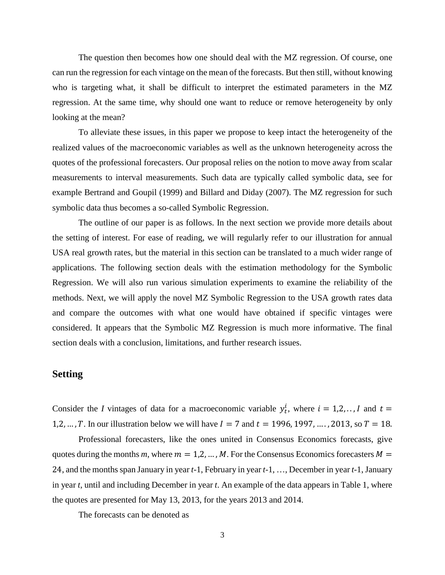The question then becomes how one should deal with the MZ regression. Of course, one can run the regression for each vintage on the mean of the forecasts. But then still, without knowing who is targeting what, it shall be difficult to interpret the estimated parameters in the MZ regression. At the same time, why should one want to reduce or remove heterogeneity by only looking at the mean?

To alleviate these issues, in this paper we propose to keep intact the heterogeneity of the realized values of the macroeconomic variables as well as the unknown heterogeneity across the quotes of the professional forecasters. Our proposal relies on the notion to move away from scalar measurements to interval measurements. Such data are typically called symbolic data, see for example Bertrand and Goupil (1999) and Billard and Diday (2007). The MZ regression for such symbolic data thus becomes a so-called Symbolic Regression.

The outline of our paper is as follows. In the next section we provide more details about the setting of interest. For ease of reading, we will regularly refer to our illustration for annual USA real growth rates, but the material in this section can be translated to a much wider range of applications. The following section deals with the estimation methodology for the Symbolic Regression. We will also run various simulation experiments to examine the reliability of the methods. Next, we will apply the novel MZ Symbolic Regression to the USA growth rates data and compare the outcomes with what one would have obtained if specific vintages were considered. It appears that the Symbolic MZ Regression is much more informative. The final section deals with a conclusion, limitations, and further research issues.

#### **Setting**

Consider the *I* vintages of data for a macroeconomic variable  $y_t^i$ , where  $i = 1, 2, \ldots, I$  and  $t =$ 1,2, ..., T. In our illustration below we will have  $I = 7$  and  $t = 1996, 1997, \ldots$ , 2013, so  $T = 18$ .

Professional forecasters, like the ones united in Consensus Economics forecasts, give quotes during the months *m*, where  $m = 1, 2, ..., M$ . For the Consensus Economics forecasters  $M =$ 24, and the months span January in year *t*-1, February in year *t*-1, …, December in year *t*-1, January in year *t*, until and including December in year *t*. An example of the data appears in Table 1, where the quotes are presented for May 13, 2013, for the years 2013 and 2014.

The forecasts can be denoted as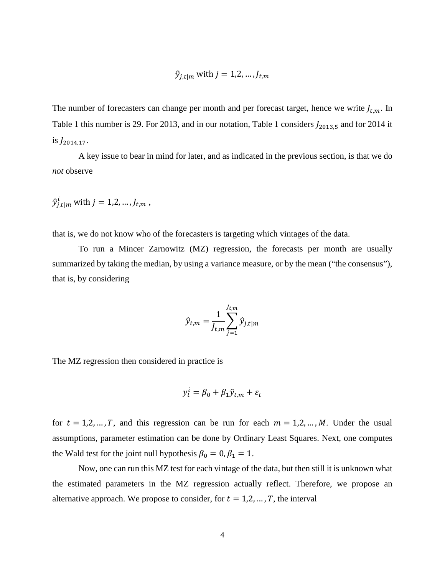$$
\hat{y}_{j,t|m} \text{ with } j = 1,2,\ldots,J_{t,m}
$$

The number of forecasters can change per month and per forecast target, hence we write  $J_{t,m}$ . In Table 1 this number is 29. For 2013, and in our notation, Table 1 considers  $J_{2013,5}$  and for 2014 it is  $J_{2014.17}$ .

A key issue to bear in mind for later, and as indicated in the previous section, is that we do *not* observe

$$
\hat{y}_{j,t|m}^i \text{ with } j = 1,2,\ldots,J_{t,m},
$$

that is, we do not know who of the forecasters is targeting which vintages of the data.

To run a Mincer Zarnowitz (MZ) regression, the forecasts per month are usually summarized by taking the median, by using a variance measure, or by the mean ("the consensus"), that is, by considering

$$
\hat{y}_{t,m} = \frac{1}{J_{t,m}} \sum_{j=1}^{J_{t,m}} \hat{y}_{j,t|m}
$$

The MZ regression then considered in practice is

$$
y_t^l = \beta_0 + \beta_1 \hat{y}_{t,m} + \varepsilon_t
$$

for  $t = 1, 2, ..., T$ , and this regression can be run for each  $m = 1, 2, ..., M$ . Under the usual assumptions, parameter estimation can be done by Ordinary Least Squares. Next, one computes the Wald test for the joint null hypothesis  $\beta_0 = 0, \beta_1 = 1$ .

Now, one can run this MZ test for each vintage of the data, but then still it is unknown what the estimated parameters in the MZ regression actually reflect. Therefore, we propose an alternative approach. We propose to consider, for  $t = 1, 2, ..., T$ , the interval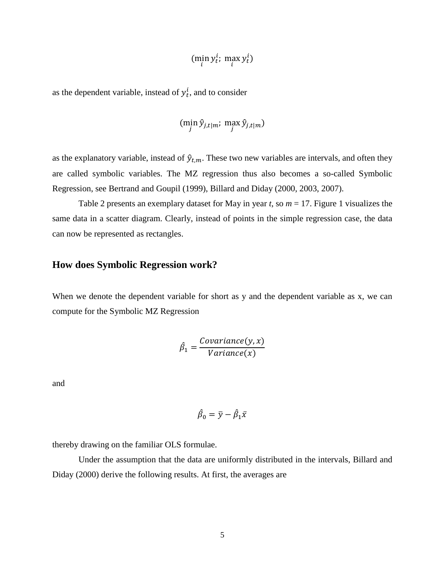$$
(\min_i y_t^i; \max_i y_t^i)
$$

as the dependent variable, instead of  $y_t^i$ , and to consider

$$
(\min_j \hat{y}_{j,t|m}; \max_j \hat{y}_{j,t|m})
$$

as the explanatory variable, instead of  $\hat{y}_{t,m}$ . These two new variables are intervals, and often they are called symbolic variables. The MZ regression thus also becomes a so-called Symbolic Regression, see Bertrand and Goupil (1999), Billard and Diday (2000, 2003, 2007).

Table 2 presents an exemplary dataset for May in year *t*, so *m* = 17. Figure 1 visualizes the same data in a scatter diagram. Clearly, instead of points in the simple regression case, the data can now be represented as rectangles.

# **How does Symbolic Regression work?**

When we denote the dependent variable for short as y and the dependent variable as x, we can compute for the Symbolic MZ Regression

$$
\hat{\beta}_1 = \frac{Covariance(y, x)}{Variance(x)}
$$

and

$$
\hat{\beta}_0 = \bar{y} - \hat{\beta}_1 \bar{x}
$$

thereby drawing on the familiar OLS formulae.

Under the assumption that the data are uniformly distributed in the intervals, Billard and Diday (2000) derive the following results. At first, the averages are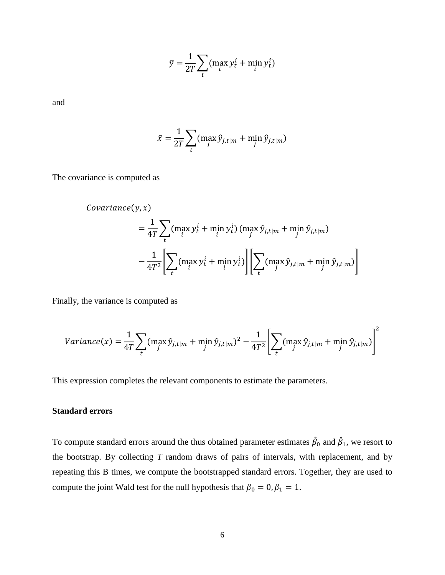$$
\bar{y} = \frac{1}{2T} \sum_{t} (\max_i y_t^i + \min_i y_t^i)
$$

and

$$
\bar{x} = \frac{1}{2T} \sum_{t} (\max_{j} \hat{y}_{j,t|m} + \min_{j} \hat{y}_{j,t|m})
$$

The covariance is computed as

$$
Covariance(y, x)
$$
  
=  $\frac{1}{4T} \sum_{t} (\max_{i} y_{t}^{i} + \min_{i} y_{t}^{i}) (\max_{j} \hat{y}_{j, t|m} + \min_{j} \hat{y}_{j, t|m})$   
-  $\frac{1}{4T^{2}} \Biggl[ \sum_{t} (\max_{i} y_{t}^{i} + \min_{i} y_{t}^{i}) \Biggl[ \sum_{t} (\max_{j} \hat{y}_{j, t|m} + \min_{j} \hat{y}_{j, t|m}) \Biggr]$ 

Finally, the variance is computed as

$$
Variance(x) = \frac{1}{4T} \sum_{t} (max_{j} \hat{y}_{j,t|m} + min_{j} \hat{y}_{j,t|m})^{2} - \frac{1}{4T^{2}} \left[ \sum_{t} (max_{j} \hat{y}_{j,t|m} + min_{j} \hat{y}_{j,t|m}) \right]^{2}
$$

This expression completes the relevant components to estimate the parameters.

#### **Standard errors**

To compute standard errors around the thus obtained parameter estimates  $\hat{\beta}_0$  and  $\hat{\beta}_1$ , we resort to the bootstrap. By collecting *T* random draws of pairs of intervals, with replacement, and by repeating this B times, we compute the bootstrapped standard errors. Together, they are used to compute the joint Wald test for the null hypothesis that  $\beta_0 = 0$ ,  $\beta_1 = 1$ .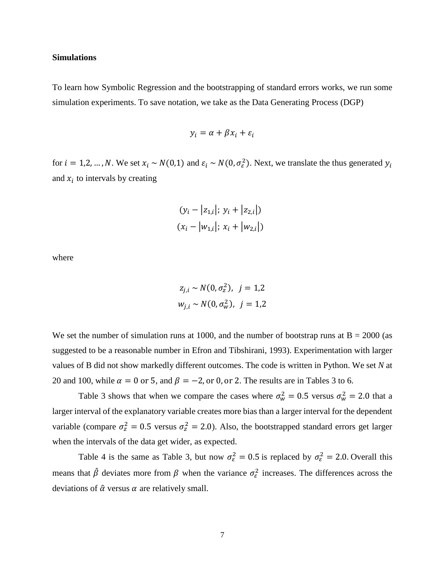#### **Simulations**

To learn how Symbolic Regression and the bootstrapping of standard errors works, we run some simulation experiments. To save notation, we take as the Data Generating Process (DGP)

$$
y_i = \alpha + \beta x_i + \varepsilon_i
$$

for  $i = 1, 2, ..., N$ . We set  $x_i \sim N(0, 1)$  and  $\varepsilon_i \sim N(0, \sigma_{\varepsilon}^2)$ . Next, we translate the thus generated  $y_i$ and  $x_i$  to intervals by creating

$$
(y_i - |z_{1,i}|; y_i + |z_{2,i}|)
$$
  
 $(x_i - |w_{1,i}|; x_i + |w_{2,i}|)$ 

where

$$
z_{j,i} \sim N(0, \sigma_z^2), \ \ j = 1,2
$$
  

$$
w_{j,i} \sim N(0, \sigma_w^2), \ \ j = 1,2
$$

We set the number of simulation runs at 1000, and the number of bootstrap runs at  $B = 2000$  (as suggested to be a reasonable number in Efron and Tibshirani, 1993). Experimentation with larger values of B did not show markedly different outcomes. The code is written in Python. We set *N* at 20 and 100, while  $\alpha = 0$  or 5, and  $\beta = -2$ , or 0, or 2. The results are in Tables 3 to 6.

Table 3 shows that when we compare the cases where  $\sigma_w^2 = 0.5$  versus  $\sigma_w^2 = 2.0$  that a larger interval of the explanatory variable creates more bias than a larger interval for the dependent variable (compare  $\sigma_z^2 = 0.5$  versus  $\sigma_z^2 = 2.0$ ). Also, the bootstrapped standard errors get larger when the intervals of the data get wider, as expected.

Table 4 is the same as Table 3, but now  $\sigma_{\varepsilon}^2 = 0.5$  is replaced by  $\sigma_{\varepsilon}^2 = 2.0$ . Overall this means that  $\hat{\beta}$  deviates more from  $\beta$  when the variance  $\sigma_{\varepsilon}^2$  increases. The differences across the deviations of  $\hat{\alpha}$  versus  $\alpha$  are relatively small.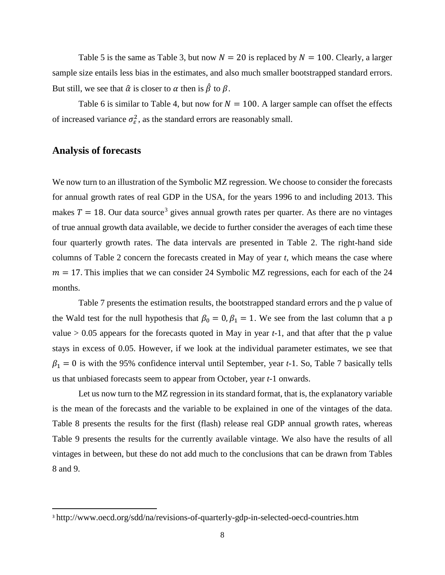Table 5 is the same as Table 3, but now  $N = 20$  is replaced by  $N = 100$ . Clearly, a larger sample size entails less bias in the estimates, and also much smaller bootstrapped standard errors. But still, we see that  $\hat{\alpha}$  is closer to  $\alpha$  then is  $\hat{\beta}$  to  $\beta$ .

Table 6 is similar to Table 4, but now for  $N = 100$ . A larger sample can offset the effects of increased variance  $\sigma_{\varepsilon}^2$ , as the standard errors are reasonably small.

#### **Analysis of forecasts**

We now turn to an illustration of the Symbolic MZ regression. We choose to consider the forecasts for annual growth rates of real GDP in the USA, for the years 1996 to and including 2013. This makes  $T = 18$ . Our data source<sup>[3](#page-7-0)</sup> gives annual growth rates per quarter. As there are no vintages of true annual growth data available, we decide to further consider the averages of each time these four quarterly growth rates. The data intervals are presented in Table 2. The right-hand side columns of Table 2 concern the forecasts created in May of year *t*, which means the case where  $m = 17$ . This implies that we can consider 24 Symbolic MZ regressions, each for each of the 24 months.

Table 7 presents the estimation results, the bootstrapped standard errors and the p value of the Wald test for the null hypothesis that  $\beta_0 = 0$ ,  $\beta_1 = 1$ . We see from the last column that a p value  $> 0.05$  appears for the forecasts quoted in May in year  $t-1$ , and that after that the p value stays in excess of 0.05. However, if we look at the individual parameter estimates, we see that  $\beta_1 = 0$  is with the 95% confidence interval until September, year *t*-1. So, Table 7 basically tells us that unbiased forecasts seem to appear from October, year *t*-1 onwards.

Let us now turn to the MZ regression in its standard format, that is, the explanatory variable is the mean of the forecasts and the variable to be explained in one of the vintages of the data. Table 8 presents the results for the first (flash) release real GDP annual growth rates, whereas Table 9 presents the results for the currently available vintage. We also have the results of all vintages in between, but these do not add much to the conclusions that can be drawn from Tables 8 and 9.

<span id="page-7-0"></span><sup>&</sup>lt;sup>3</sup> <http://www.oecd.org/sdd/na/revisions-of-quarterly-gdp-in-selected-oecd-countries.htm>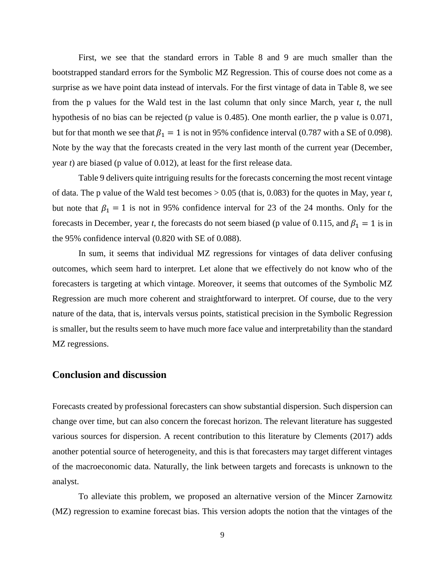First, we see that the standard errors in Table 8 and 9 are much smaller than the bootstrapped standard errors for the Symbolic MZ Regression. This of course does not come as a surprise as we have point data instead of intervals. For the first vintage of data in Table 8, we see from the p values for the Wald test in the last column that only since March, year *t*, the null hypothesis of no bias can be rejected (p value is 0.485). One month earlier, the p value is 0.071, but for that month we see that  $\beta_1 = 1$  is not in 95% confidence interval (0.787 with a SE of 0.098). Note by the way that the forecasts created in the very last month of the current year (December, year *t*) are biased (p value of 0.012), at least for the first release data.

Table 9 delivers quite intriguing results for the forecasts concerning the most recent vintage of data. The p value of the Wald test becomes > 0.05 (that is, 0.083) for the quotes in May, year *t*, but note that  $\beta_1 = 1$  is not in 95% confidence interval for 23 of the 24 months. Only for the forecasts in December, year *t*, the forecasts do not seem biased (p value of 0.115, and  $\beta_1 = 1$  is in the 95% confidence interval (0.820 with SE of 0.088).

In sum, it seems that individual MZ regressions for vintages of data deliver confusing outcomes, which seem hard to interpret. Let alone that we effectively do not know who of the forecasters is targeting at which vintage. Moreover, it seems that outcomes of the Symbolic MZ Regression are much more coherent and straightforward to interpret. Of course, due to the very nature of the data, that is, intervals versus points, statistical precision in the Symbolic Regression is smaller, but the results seem to have much more face value and interpretability than the standard MZ regressions.

#### **Conclusion and discussion**

Forecasts created by professional forecasters can show substantial dispersion. Such dispersion can change over time, but can also concern the forecast horizon. The relevant literature has suggested various sources for dispersion. A recent contribution to this literature by Clements (2017) adds another potential source of heterogeneity, and this is that forecasters may target different vintages of the macroeconomic data. Naturally, the link between targets and forecasts is unknown to the analyst.

To alleviate this problem, we proposed an alternative version of the Mincer Zarnowitz (MZ) regression to examine forecast bias. This version adopts the notion that the vintages of the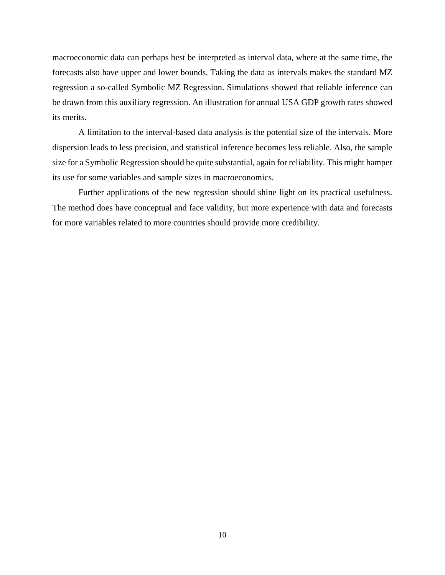macroeconomic data can perhaps best be interpreted as interval data, where at the same time, the forecasts also have upper and lower bounds. Taking the data as intervals makes the standard MZ regression a so-called Symbolic MZ Regression. Simulations showed that reliable inference can be drawn from this auxiliary regression. An illustration for annual USA GDP growth rates showed its merits.

A limitation to the interval-based data analysis is the potential size of the intervals. More dispersion leads to less precision, and statistical inference becomes less reliable. Also, the sample size for a Symbolic Regression should be quite substantial, again for reliability. This might hamper its use for some variables and sample sizes in macroeconomics.

Further applications of the new regression should shine light on its practical usefulness. The method does have conceptual and face validity, but more experience with data and forecasts for more variables related to more countries should provide more credibility.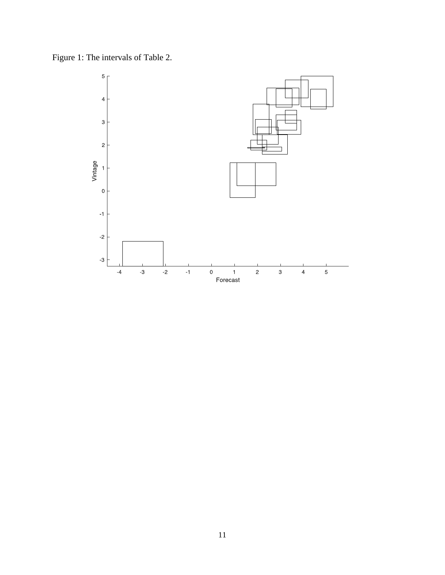Figure 1: The intervals of Table 2.

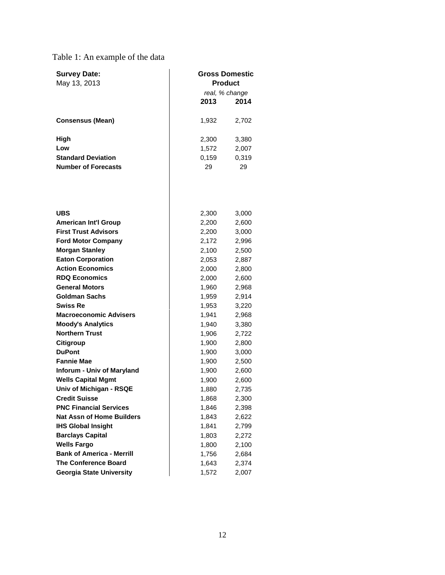# Table 1: An example of the data

| <b>Survey Date:</b>        | <b>Gross Domestic</b> |       |
|----------------------------|-----------------------|-------|
| May 13, 2013               | <b>Product</b>        |       |
|                            | real, % change        |       |
|                            | 2013<br>2014          |       |
| <b>Consensus (Mean)</b>    | 1,932                 | 2,702 |
| High                       | 2,300                 | 3,380 |
| Low                        | 1,572                 | 2,007 |
| <b>Standard Deviation</b>  | 0.159                 | 0,319 |
| <b>Number of Forecasts</b> | 29<br>29              |       |
|                            |                       |       |

| <b>UBS</b>                        | 2,300 | 3,000 |
|-----------------------------------|-------|-------|
| <b>American Int'l Group</b>       | 2,200 | 2,600 |
| <b>First Trust Advisors</b>       | 2,200 | 3,000 |
| <b>Ford Motor Company</b>         | 2,172 | 2,996 |
| <b>Morgan Stanley</b>             | 2,100 | 2,500 |
| <b>Eaton Corporation</b>          | 2,053 | 2,887 |
| <b>Action Economics</b>           | 2,000 | 2,800 |
| <b>RDQ Economics</b>              | 2,000 | 2,600 |
| <b>General Motors</b>             | 1,960 | 2,968 |
| <b>Goldman Sachs</b>              | 1,959 | 2,914 |
| <b>Swiss Re</b>                   | 1,953 | 3,220 |
| <b>Macroeconomic Advisers</b>     | 1,941 | 2,968 |
| <b>Moody's Analytics</b>          | 1,940 | 3,380 |
| <b>Northern Trust</b>             | 1,906 | 2,722 |
| Citigroup                         | 1,900 | 2,800 |
| <b>DuPont</b>                     | 1,900 | 3,000 |
| <b>Fannie Mae</b>                 | 1,900 | 2,500 |
| <b>Inforum - Univ of Maryland</b> | 1,900 | 2,600 |
| <b>Wells Capital Mgmt</b>         | 1,900 | 2,600 |
| Univ of Michigan - RSQE           | 1,880 | 2,735 |
| <b>Credit Suisse</b>              | 1,868 | 2,300 |
| <b>PNC Financial Services</b>     | 1,846 | 2,398 |
| <b>Nat Assn of Home Builders</b>  | 1,843 | 2,622 |
| <b>IHS Global Insight</b>         | 1,841 | 2,799 |
| <b>Barclays Capital</b>           | 1,803 | 2,272 |
| <b>Wells Fargo</b>                | 1,800 | 2,100 |
| <b>Bank of America - Merrill</b>  | 1,756 | 2,684 |
| <b>The Conference Board</b>       | 1,643 | 2,374 |
| <b>Georgia State University</b>   | 1,572 | 2,007 |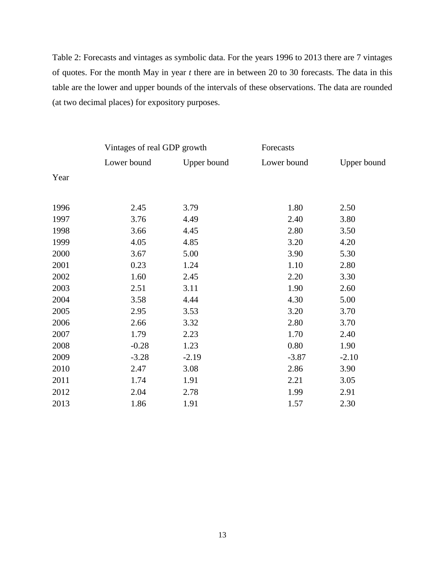Table 2: Forecasts and vintages as symbolic data. For the years 1996 to 2013 there are 7 vintages of quotes. For the month May in year *t* there are in between 20 to 30 forecasts. The data in this table are the lower and upper bounds of the intervals of these observations. The data are rounded (at two decimal places) for expository purposes.

|             |             | Forecasts                   |             |  |
|-------------|-------------|-----------------------------|-------------|--|
| Lower bound | Upper bound | Lower bound                 | Upper bound |  |
|             |             |                             |             |  |
| 2.45        | 3.79        | 1.80                        | 2.50        |  |
| 3.76        | 4.49        | 2.40                        | 3.80        |  |
| 3.66        | 4.45        | 2.80                        | 3.50        |  |
| 4.05        | 4.85        | 3.20                        | 4.20        |  |
| 3.67        | 5.00        | 3.90                        | 5.30        |  |
| 0.23        | 1.24        | 1.10                        | 2.80        |  |
| 1.60        | 2.45        | 2.20                        | 3.30        |  |
| 2.51        | 3.11        | 1.90                        | 2.60        |  |
| 3.58        | 4.44        | 4.30                        | 5.00        |  |
| 2.95        | 3.53        | 3.20                        | 3.70        |  |
| 2.66        | 3.32        | 2.80                        | 3.70        |  |
| 1.79        | 2.23        | 1.70                        | 2.40        |  |
| $-0.28$     | 1.23        | 0.80                        | 1.90        |  |
| $-3.28$     | $-2.19$     | $-3.87$                     | $-2.10$     |  |
| 2.47        | 3.08        | 2.86                        | 3.90        |  |
| 1.74        | 1.91        | 2.21                        | 3.05        |  |
| 2.04        | 2.78        | 1.99                        | 2.91        |  |
| 1.86        | 1.91        | 1.57                        | 2.30        |  |
|             |             | Vintages of real GDP growth |             |  |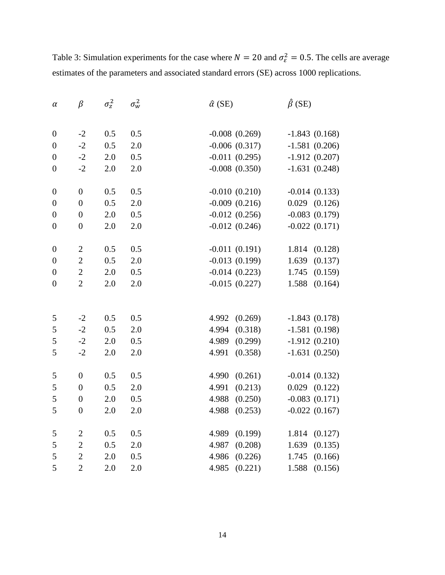| $\alpha$         | $\beta$          | $\sigma_z^2$ | $\sigma_w^2$ | $\hat{\alpha}$ (SE)         | $\hat{\beta}$ (SE)                 |
|------------------|------------------|--------------|--------------|-----------------------------|------------------------------------|
|                  |                  |              |              |                             |                                    |
| $\boldsymbol{0}$ | $-2$             | 0.5          | 0.5          | $-0.008(0.269)$             | $-1.843(0.168)$                    |
| $\boldsymbol{0}$ | $-2$             | 0.5          | 2.0          | $-0.006(0.317)$             | $-1.581(0.206)$                    |
| $\boldsymbol{0}$ | $-2$             | 2.0          | 0.5          | $-0.011(0.295)$             | $-1.912(0.207)$                    |
| $\boldsymbol{0}$ | $-2$             | 2.0          | 2.0          | $-0.008(0.350)$             | $-1.631(0.248)$                    |
| $\boldsymbol{0}$ | $\boldsymbol{0}$ | 0.5          | 0.5          | $-0.010(0.210)$             | $-0.014(0.133)$                    |
| $\boldsymbol{0}$ | $\overline{0}$   | 0.5          | 2.0          | $-0.009(0.216)$             | $0.029$ $(0.126)$                  |
| $\overline{0}$   | $\boldsymbol{0}$ | $2.0\,$      | 0.5          | $-0.012(0.256)$             | $-0.083(0.179)$                    |
| $\boldsymbol{0}$ | $\boldsymbol{0}$ | 2.0          | 2.0          | $-0.012(0.246)$             | $-0.022(0.171)$                    |
| $\boldsymbol{0}$ | $\mathbf{2}$     | 0.5          | 0.5          | $-0.011(0.191)$             | 1.814 (0.128)                      |
| $\overline{0}$   | $\sqrt{2}$       | 0.5          | $2.0\,$      | $-0.013(0.199)$             | 1.639<br>(0.137)                   |
| $\boldsymbol{0}$ | $\overline{2}$   | 2.0          | 0.5          | $-0.014(0.223)$             | 1.745<br>(0.159)                   |
| $\boldsymbol{0}$ | $\overline{2}$   | 2.0          | 2.0          | $-0.015(0.227)$             | 1.588<br>(0.164)                   |
|                  |                  |              |              |                             |                                    |
|                  |                  | 0.5          | 0.5          |                             |                                    |
| 5<br>5           | $-2$<br>$-2$     | 0.5          | 2.0          | 4.992<br>(0.269)<br>4.994   | $-1.843(0.178)$                    |
| 5                | $-2$             | $2.0\,$      | 0.5          | (0.318)<br>4.989<br>(0.299) | $-1.581(0.198)$<br>$-1.912(0.210)$ |
| 5                | $-2$             | 2.0          | 2.0          | (0.358)<br>4.991            | $-1.631(0.250)$                    |
|                  |                  |              |              |                             |                                    |
| 5                | $\boldsymbol{0}$ | 0.5          | 0.5          | (0.261)<br>4.990            | $-0.014(0.132)$                    |
| 5                | $\boldsymbol{0}$ | 0.5          | 2.0          | 4.991<br>(0.213)            | $0.029$ $(0.122)$                  |
| 5                | $\boldsymbol{0}$ | 2.0          | 0.5          | (0.250)<br>4.988            | $-0.083(0.171)$                    |
| 5                | $\boldsymbol{0}$ | 2.0          | 2.0          | 4.988<br>(0.253)            | $-0.022(0.167)$                    |
| 5                | $\sqrt{2}$       | 0.5          | 0.5          | 4.989<br>(0.199)            | 1.814<br>(0.127)                   |
| 5                | $\overline{2}$   | 0.5          | 2.0          | 4.987<br>(0.208)            | 1.639<br>(0.135)                   |
| 5                | $\overline{2}$   | $2.0\,$      | 0.5          | 4.986<br>(0.226)            | 1.745<br>(0.166)                   |
| 5                | $\overline{2}$   | 2.0          | 2.0          | (0.221)<br>4.985            | 1.588<br>(0.156)                   |

Table 3: Simulation experiments for the case where  $N = 20$  and  $\sigma_{\varepsilon}^2 = 0.5$ . The cells are average estimates of the parameters and associated standard errors (SE) across 1000 replications.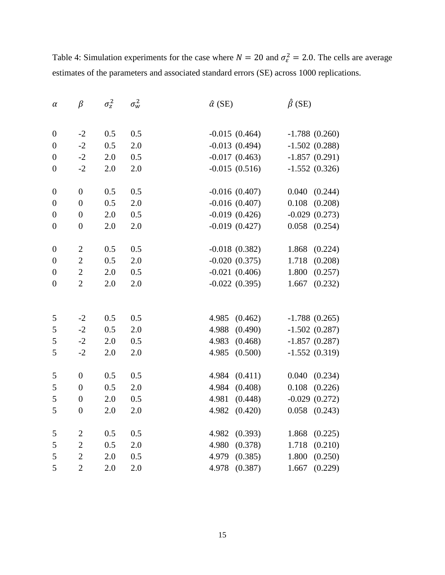| $\alpha$         | $\beta$          | $\sigma_z^2$ | $\sigma_w^2$ | $\hat{\alpha}$ (SE) | $\hat{\beta}$ (SE) |
|------------------|------------------|--------------|--------------|---------------------|--------------------|
|                  |                  |              |              |                     |                    |
| $\boldsymbol{0}$ | $-2$             | 0.5          | 0.5          | $-0.015(0.464)$     | $-1.788(0.260)$    |
| $\overline{0}$   | $-2$             | 0.5          | 2.0          | $-0.013(0.494)$     | $-1.502(0.288)$    |
| $\boldsymbol{0}$ | $-2$             | 2.0          | 0.5          | $-0.017(0.463)$     | $-1.857(0.291)$    |
| $\boldsymbol{0}$ | $-2$             | 2.0          | 2.0          | $-0.015(0.516)$     | $-1.552(0.326)$    |
| $\boldsymbol{0}$ | $\boldsymbol{0}$ | 0.5          | 0.5          | $-0.016(0.407)$     | 0.040<br>(0.244)   |
| $\boldsymbol{0}$ | $\boldsymbol{0}$ | 0.5          | 2.0          | $-0.016(0.407)$     | 0.108<br>(0.208)   |
| $\boldsymbol{0}$ | $\boldsymbol{0}$ | 2.0          | 0.5          | $-0.019(0.426)$     | $-0.029(0.273)$    |
| $\boldsymbol{0}$ | $\boldsymbol{0}$ | 2.0          | 2.0          | $-0.019(0.427)$     | 0.058<br>(0.254)   |
| $\overline{0}$   | $\sqrt{2}$       | 0.5          | 0.5          | $-0.018(0.382)$     | 1.868<br>(0.224)   |
| $\boldsymbol{0}$ | $\sqrt{2}$       | 0.5          | 2.0          | $-0.020(0.375)$     | 1.718<br>(0.208)   |
| $\boldsymbol{0}$ | $\sqrt{2}$       | $2.0\,$      | 0.5          | $-0.021(0.406)$     | 1.800<br>(0.257)   |
| $\boldsymbol{0}$ | $\overline{2}$   | 2.0          | 2.0          | $-0.022(0.395)$     | 1.667<br>(0.232)   |
|                  |                  |              |              |                     |                    |
| $\sqrt{5}$       | $-2$             | 0.5          | 0.5          | 4.985<br>(0.462)    | $-1.788(0.265)$    |
| $\mathfrak{S}$   | $-2$             | 0.5          | 2.0          | 4.988<br>(0.490)    | $-1.502(0.287)$    |
| 5                | $-2$             | $2.0\,$      | 0.5          | 4.983<br>(0.468)    | $-1.857(0.287)$    |
| 5                | $-2$             | 2.0          | 2.0          | (0.500)<br>4.985    | $-1.552(0.319)$    |
| $\mathfrak s$    | $\boldsymbol{0}$ | 0.5          | 0.5          | (0.411)<br>4.984    | 0.040<br>(0.234)   |
| 5                | $\boldsymbol{0}$ | 0.5          | 2.0          | (0.408)<br>4.984    | 0.108<br>(0.226)   |
| 5                | $\boldsymbol{0}$ | 2.0          | 0.5          | (0.448)<br>4.981    | $-0.029(0.272)$    |
| 5                | $\boldsymbol{0}$ | 2.0          | 2.0          | 4.982<br>(0.420)    | 0.058<br>(0.243)   |
| $\mathfrak{S}$   | $\sqrt{2}$       | 0.5          | 0.5          | 4.982<br>(0.393)    | 1.868<br>(0.225)   |
| 5                | $\sqrt{2}$       | 0.5          | 2.0          | 4.980<br>(0.378)    | 1.718<br>(0.210)   |
| 5                | $\overline{2}$   | 2.0          | 0.5          | 4.979<br>(0.385)    | 1.800<br>(0.250)   |
| 5                | $\overline{2}$   | 2.0          | 2.0          | 4.978<br>(0.387)    | (0.229)<br>1.667   |

Table 4: Simulation experiments for the case where  $N = 20$  and  $\sigma_{\varepsilon}^2 = 2.0$ . The cells are average estimates of the parameters and associated standard errors (SE) across 1000 replications.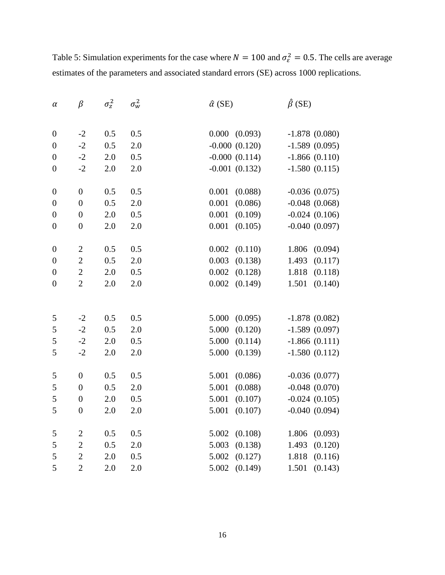| $\alpha$         | $\beta$          | $\sigma_z^2$ | $\sigma_w^2$ | $\hat{\alpha}$ (SE) | $\hat{\beta}$ (SE) |
|------------------|------------------|--------------|--------------|---------------------|--------------------|
|                  |                  |              |              |                     |                    |
| $\boldsymbol{0}$ | $-2$             | 0.5          | 0.5          | 0.000 (0.093)       | $-1.878(0.080)$    |
| $\overline{0}$   | $-2$             | 0.5          | 2.0          | $-0.000(0.120)$     | $-1.589(0.095)$    |
| $\boldsymbol{0}$ | $-2$             | 2.0          | 0.5          | $-0.000(0.114)$     | $-1.866(0.110)$    |
| $\boldsymbol{0}$ | $-2$             | 2.0          | 2.0          | $-0.001(0.132)$     | $-1.580(0.115)$    |
| $\boldsymbol{0}$ | $\boldsymbol{0}$ | 0.5          | 0.5          | 0.001<br>(0.088)    | $-0.036(0.075)$    |
| $\boldsymbol{0}$ | $\boldsymbol{0}$ | 0.5          | 2.0          | 0.001<br>(0.086)    | $-0.048$ $(0.068)$ |
| $\boldsymbol{0}$ | $\boldsymbol{0}$ | 2.0          | 0.5          | 0.001<br>(0.109)    | $-0.024(0.106)$    |
| $\boldsymbol{0}$ | $\boldsymbol{0}$ | 2.0          | 2.0          | 0.001<br>(0.105)    | $-0.040(0.097)$    |
| $\boldsymbol{0}$ | $\mathbf{2}$     | 0.5          | 0.5          | 0.002<br>(0.110)    | 1.806<br>(0.094)   |
| $\boldsymbol{0}$ | $\sqrt{2}$       | 0.5          | 2.0          | 0.003<br>(0.138)    | 1.493<br>(0.117)   |
| $\boldsymbol{0}$ | $\overline{2}$   | 2.0          | 0.5          | 0.002<br>(0.128)    | 1.818<br>(0.118)   |
| $\boldsymbol{0}$ | $\overline{2}$   | 2.0          | 2.0          | 0.002<br>(0.149)    | 1.501<br>(0.140)   |
|                  |                  |              |              |                     |                    |
| $\mathfrak s$    | $-2$             | 0.5          | 0.5          | 5.000<br>(0.095)    | $-1.878(0.082)$    |
| 5                | $-2$             | 0.5          | 2.0          | 5.000<br>(0.120)    | $-1.589(0.097)$    |
| 5                | $-2$             | 2.0          | 0.5          | 5.000<br>(0.114)    | $-1.866(0.111)$    |
| 5                | $-2$             | 2.0          | 2.0          | 5.000<br>(0.139)    | $-1.580(0.112)$    |
| $\mathfrak s$    | $\boldsymbol{0}$ | 0.5          | 0.5          | 5.001<br>(0.086)    | $-0.036(0.077)$    |
| 5                | $\boldsymbol{0}$ | 0.5          | 2.0          | 5.001<br>(0.088)    | $-0.048(0.070)$    |
| 5                | $\boldsymbol{0}$ | 2.0          | 0.5          | 5.001<br>(0.107)    | $-0.024(0.105)$    |
| 5                | $\boldsymbol{0}$ | 2.0          | 2.0          | 5.001<br>(0.107)    | $-0.040(0.094)$    |
| 5                | $\boldsymbol{2}$ | 0.5          | 0.5          | 5.002<br>(0.108)    | 1.806<br>(0.093)   |
| 5                | $\overline{2}$   | 0.5          | 2.0          | 5.003<br>(0.138)    | 1.493<br>(0.120)   |
| 5                | $\overline{2}$   | $2.0\,$      | 0.5          | 5.002<br>(0.127)    | 1.818<br>(0.116)   |
| 5                | $\overline{2}$   | 2.0          | 2.0          | (0.149)<br>5.002    | 1.501<br>(0.143)   |

Table 5: Simulation experiments for the case where  $N = 100$  and  $\sigma_{\epsilon}^2 = 0.5$ . The cells are average estimates of the parameters and associated standard errors (SE) across 1000 replications.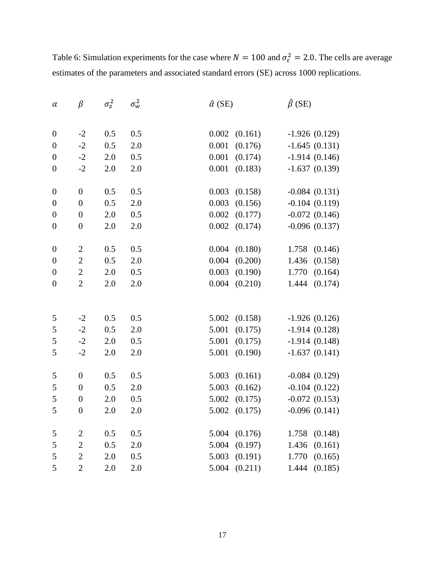| $\alpha$         | $\beta$          | $\sigma_z^2$ | $\sigma_w^2$ | $\hat{\alpha}$ (SE) | $\hat{\beta}$ (SE) |
|------------------|------------------|--------------|--------------|---------------------|--------------------|
|                  |                  |              |              |                     |                    |
| $\boldsymbol{0}$ | $-2$             | 0.5          | 0.5          | 0.002<br>(0.161)    | $-1.926(0.129)$    |
| $\boldsymbol{0}$ | $-2$             | 0.5          | 2.0          | 0.001<br>(0.176)    | $-1.645(0.131)$    |
| $\overline{0}$   | $-2$             | $2.0\,$      | 0.5          | 0.001<br>(0.174)    | $-1.914(0.146)$    |
| $\boldsymbol{0}$ | $-2$             | 2.0          | 2.0          | 0.001<br>(0.183)    | $-1.637(0.139)$    |
|                  |                  |              |              |                     |                    |
| $\boldsymbol{0}$ | $\boldsymbol{0}$ | 0.5          | 0.5          | 0.003<br>(0.158)    | $-0.084(0.131)$    |
| $\boldsymbol{0}$ | $\boldsymbol{0}$ | 0.5          | 2.0          | 0.003<br>(0.156)    | $-0.104(0.119)$    |
| $\boldsymbol{0}$ | $\boldsymbol{0}$ | 2.0          | 0.5          | 0.002<br>(0.177)    | $-0.072(0.146)$    |
| $\boldsymbol{0}$ | $\boldsymbol{0}$ | 2.0          | 2.0          | 0.002<br>(0.174)    | $-0.096$ $(0.137)$ |
| $\boldsymbol{0}$ | $\sqrt{2}$       | 0.5          | 0.5          | 0.004<br>(0.180)    | 1.758<br>(0.146)   |
| $\boldsymbol{0}$ | $\overline{2}$   | 0.5          | 2.0          | 0.004<br>(0.200)    | 1.436<br>(0.158)   |
| $\boldsymbol{0}$ | $\overline{2}$   | $2.0\,$      | 0.5          | 0.003<br>(0.190)    | 1.770<br>(0.164)   |
| $\boldsymbol{0}$ | $\overline{2}$   | 2.0          | 2.0          | 0.004<br>(0.210)    | 1.444<br>(0.174)   |
|                  |                  |              |              |                     |                    |
| 5                | $-2$             | 0.5          | 0.5          | 5.002<br>(0.158)    | $-1.926(0.126)$    |
| $\mathfrak s$    | $-2$             | 0.5          | 2.0          | 5.001<br>(0.175)    | $-1.914(0.128)$    |
| 5                | $-2$             | 2.0          | 0.5          | 5.001<br>(0.175)    | $-1.914(0.148)$    |
| 5                | $-2$             | 2.0          | 2.0          | 5.001<br>(0.190)    | $-1.637(0.141)$    |
|                  |                  |              |              |                     |                    |
| 5                | $\boldsymbol{0}$ | 0.5          | 0.5          | 5.003<br>(0.161)    | $-0.084(0.129)$    |
| 5                | $\boldsymbol{0}$ | 0.5          | 2.0          | 5.003<br>(0.162)    | $-0.104(0.122)$    |
| 5                | $\boldsymbol{0}$ | 2.0          | 0.5          | 5.002<br>(0.175)    | $-0.072(0.153)$    |
| 5                | $\boldsymbol{0}$ | 2.0          | 2.0          | 5.002<br>(0.175)    | $-0.096(0.141)$    |
| 5                | $\mathbf{2}$     | 0.5          | 0.5          | 5.004<br>(0.176)    | 1.758<br>(0.148)   |
| 5                | $\overline{2}$   | 0.5          | 2.0          | 5.004<br>(0.197)    | 1.436<br>(0.161)   |
| 5                | $\overline{2}$   | $2.0\,$      | 0.5          | 5.003<br>(0.191)    | 1.770<br>(0.165)   |
| 5                | $\overline{2}$   | 2.0          | 2.0          | (0.211)<br>5.004    | 1.444<br>(0.185)   |

Table 6: Simulation experiments for the case where  $N = 100$  and  $\sigma_{\epsilon}^2 = 2.0$ . The cells are average estimates of the parameters and associated standard errors (SE) across 1000 replications.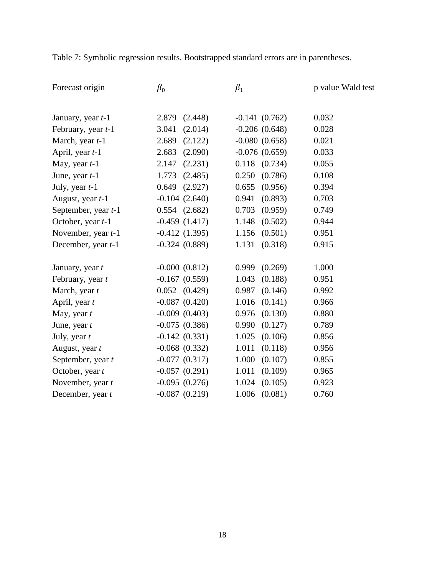Table 7: Symbolic regression results. Bootstrapped standard errors are in parentheses.

| Forecast origin         | $\beta_0$         | $\beta_1$          | p value Wald test |
|-------------------------|-------------------|--------------------|-------------------|
|                         |                   |                    |                   |
| January, year t-1       | 2.879<br>(2.448)  | $-0.141(0.762)$    | 0.032             |
| February, year t-1      | 3.041<br>(2.014)  | $-0.206$ $(0.648)$ | 0.028             |
| March, year t-1         | 2.689<br>(2.122)  | $-0.080(0.658)$    | 0.021             |
| April, year <i>t</i> -1 | 2.683<br>(2.090)  | $-0.076(0.659)$    | 0.033             |
| May, year $t-1$         | 2.147<br>(2.231)  | $0.118$ $(0.734)$  | 0.055             |
| June, year $t-1$        | 1.773<br>(2.485)  | 0.250<br>(0.786)   | 0.108             |
| July, year $t-1$        | 0.649<br>(2.927)  | 0.655<br>(0.956)   | 0.394             |
| August, year t-1        | $-0.104(2.640)$   | 0.941<br>(0.893)   | 0.703             |
| September, year t-1     | $0.554$ $(2.682)$ | 0.703<br>(0.959)   | 0.749             |
| October, year t-1       | $-0.459(1.417)$   | 1.148<br>(0.502)   | 0.944             |
| November, year t-1      | $-0.412(1.395)$   | 1.156<br>(0.501)   | 0.951             |
| December, year t-1      | $-0.324(0.889)$   | 1.131<br>(0.318)   | 0.915             |
|                         |                   |                    |                   |
| January, year t         | $-0.000(0.812)$   | 0.999<br>(0.269)   | 1.000             |
| February, year t        | $-0.167(0.559)$   | 1.043<br>(0.188)   | 0.951             |
| March, year t           | $0.052$ $(0.429)$ | (0.146)<br>0.987   | 0.992             |
| April, year t           | $-0.087(0.420)$   | 1.016<br>(0.141)   | 0.966             |
| May, year $t$           | $-0.009(0.403)$   | 0.976<br>(0.130)   | 0.880             |
| June, year $t$          | $-0.075(0.386)$   | (0.127)<br>0.990   | 0.789             |
| July, year $t$          | $-0.142(0.331)$   | 1.025<br>(0.106)   | 0.856             |
| August, year t          | $-0.068(0.332)$   | 1.011<br>(0.118)   | 0.956             |
| September, year t       | $-0.077(0.317)$   | 1.000<br>(0.107)   | 0.855             |
| October, year t         | $-0.057(0.291)$   | 1.011<br>(0.109)   | 0.965             |
| November, year t        | $-0.095(0.276)$   | 1.024<br>(0.105)   | 0.923             |
| December, year t        | $-0.087(0.219)$   | 1.006<br>(0.081)   | 0.760             |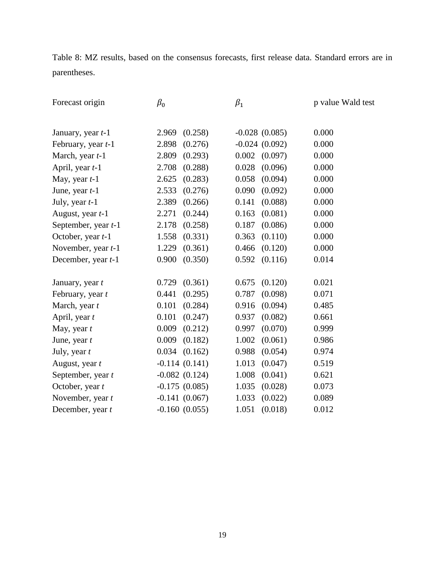Table 8: MZ results, based on the consensus forecasts, first release data. Standard errors are in parentheses.

| Forecast origin         | $\beta_0$         | $\beta_1$        | p value Wald test |
|-------------------------|-------------------|------------------|-------------------|
|                         |                   |                  |                   |
| January, year t-1       | (0.258)<br>2.969  | $-0.028(0.085)$  | 0.000             |
| February, year t-1      | 2.898<br>(0.276)  | $-0.024(0.092)$  | 0.000             |
| March, year t-1         | 2.809<br>(0.293)  | 0.002<br>(0.097) | 0.000             |
| April, year <i>t</i> -1 | 2.708<br>(0.288)  | 0.028<br>(0.096) | 0.000             |
| May, year $t-1$         | 2.625<br>(0.283)  | 0.058<br>(0.094) | 0.000             |
| June, year $t-1$        | 2.533<br>(0.276)  | 0.090<br>(0.092) | 0.000             |
| July, year $t-1$        | 2.389<br>(0.266)  | 0.141<br>(0.088) | 0.000             |
| August, year t-1        | 2.271<br>(0.244)  | 0.163<br>(0.081) | 0.000             |
| September, year t-1     | 2.178<br>(0.258)  | 0.187<br>(0.086) | 0.000             |
| October, year t-1       | 1.558<br>(0.331)  | 0.363<br>(0.110) | 0.000             |
| November, year t-1      | 1.229<br>(0.361)  | 0.466<br>(0.120) | 0.000             |
| December, year t-1      | (0.350)<br>0.900  | 0.592<br>(0.116) | 0.014             |
| January, year t         | 0.729<br>(0.361)  | 0.675<br>(0.120) | 0.021             |
| February, year t        | 0.441<br>(0.295)  | 0.787<br>(0.098) | 0.071             |
| March, year t           | 0.101<br>(0.284)  | 0.916<br>(0.094) | 0.485             |
| April, year t           | 0.101<br>(0.247)  | 0.937<br>(0.082) | 0.661             |
| May, year $t$           | 0.009<br>(0.212)  | 0.997<br>(0.070) | 0.999             |
| June, year $t$          | 0.009<br>(0.182)  | 1.002<br>(0.061) | 0.986             |
| July, year $t$          | $0.034$ $(0.162)$ | 0.988<br>(0.054) | 0.974             |
| August, year t          | $-0.114(0.141)$   | 1.013<br>(0.047) | 0.519             |
| September, year t       | $-0.082(0.124)$   | 1.008<br>(0.041) | 0.621             |
| October, year t         | $-0.175(0.085)$   | 1.035<br>(0.028) | 0.073             |
| November, year t        | $-0.141(0.067)$   | 1.033<br>(0.022) | 0.089             |
| December, year t        | $-0.160(0.055)$   | 1.051<br>(0.018) | 0.012             |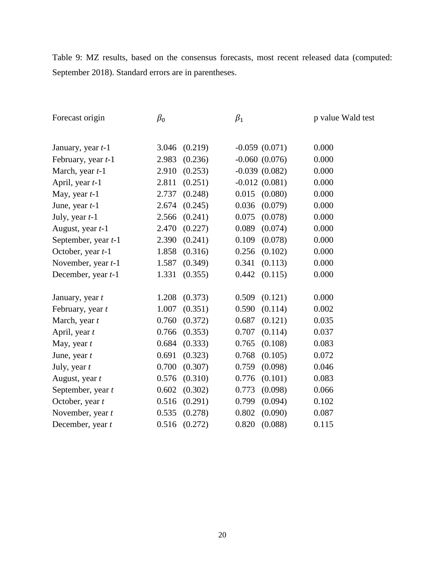Table 9: MZ results, based on the consensus forecasts, most recent released data (computed: September 2018). Standard errors are in parentheses.

| Forecast origin           | $\beta_0$        | $\beta_1$        | p value Wald test |
|---------------------------|------------------|------------------|-------------------|
|                           |                  |                  |                   |
| January, year <i>t</i> -1 | (0.219)<br>3.046 | $-0.059(0.071)$  | 0.000             |
| February, year t-1        | 2.983<br>(0.236) | $-0.060(0.076)$  | 0.000             |
| March, year t-1           | 2.910<br>(0.253) | $-0.039(0.082)$  | 0.000             |
| April, year t-1           | 2.811<br>(0.251) | $-0.012(0.081)$  | 0.000             |
| May, year $t-1$           | (0.248)<br>2.737 | 0.015<br>(0.080) | 0.000             |
| June, year $t-1$          | 2.674<br>(0.245) | 0.036<br>(0.079) | 0.000             |
| July, year $t-1$          | 2.566<br>(0.241) | 0.075<br>(0.078) | 0.000             |
| August, year t-1          | 2.470<br>(0.227) | 0.089<br>(0.074) | 0.000             |
| September, year t-1       | (0.241)<br>2.390 | 0.109<br>(0.078) | 0.000             |
| October, year t-1         | 1.858<br>(0.316) | 0.256<br>(0.102) | 0.000             |
| November, year t-1        | 1.587<br>(0.349) | 0.341<br>(0.113) | 0.000             |
| December, year t-1        | 1.331<br>(0.355) | 0.442<br>(0.115) | 0.000             |
|                           |                  |                  |                   |
| January, year t           | 1.208<br>(0.373) | 0.509<br>(0.121) | 0.000             |
| February, year t          | 1.007<br>(0.351) | 0.590<br>(0.114) | 0.002             |
| March, year t             | 0.760<br>(0.372) | 0.687<br>(0.121) | 0.035             |
| April, year $t$           | 0.766<br>(0.353) | 0.707<br>(0.114) | 0.037             |
| May, year $t$             | 0.684<br>(0.333) | 0.765<br>(0.108) | 0.083             |
| June, year $t$            | 0.691<br>(0.323) | 0.768<br>(0.105) | 0.072             |
| July, year $t$            | 0.700<br>(0.307) | 0.759<br>(0.098) | 0.046             |
| August, year t            | 0.576<br>(0.310) | 0.776<br>(0.101) | 0.083             |
| September, year t         | 0.602<br>(0.302) | 0.773<br>(0.098) | 0.066             |
| October, year t           | 0.516<br>(0.291) | 0.799<br>(0.094) | 0.102             |
| November, year t          | 0.535<br>(0.278) | 0.802<br>(0.090) | 0.087             |
| December, year t          | 0.516<br>(0.272) | 0.820<br>(0.088) | 0.115             |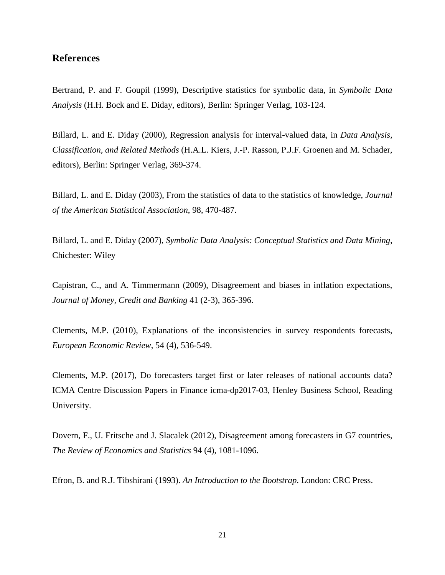# **References**

Bertrand, P. and F. Goupil (1999), Descriptive statistics for symbolic data, in *Symbolic Data Analysis* (H.H. Bock and E. Diday, editors), Berlin: Springer Verlag, 103-124.

Billard, L. and E. Diday (2000), Regression analysis for interval-valued data, in *Data Analysis, Classification, and Related Methods* (H.A.L. Kiers, J.-P. Rasson, P.J.F. Groenen and M. Schader, editors), Berlin: Springer Verlag, 369-374.

Billard, L. and E. Diday (2003), From the statistics of data to the statistics of knowledge, *Journal of the American Statistical Association*, 98, 470-487.

Billard, L. and E. Diday (2007), *Symbolic Data Analysis: Conceptual Statistics and Data Mining*, Chichester: Wiley

Capistran, C., and A. Timmermann (2009), Disagreement and biases in inflation expectations, *Journal of Money, Credit and Banking* 41 (2-3), 365-396.

Clements, M.P. (2010), Explanations of the inconsistencies in survey respondents forecasts, *European Economic Review*, 54 (4), 536-549.

Clements, M.P. (2017), Do forecasters target first or later releases of national accounts data? [ICMA Centre Discussion Papers in Finance](https://ideas.repec.org/s/rdg/icmadp.html) icma-dp2017-03, Henley Business School, Reading University.

Dovern, F., U. Fritsche and J. Slacalek (2012), Disagreement among forecasters in G7 countries, *The Review of Economics and Statistics* 94 (4), 1081-1096.

Efron, B. and R.J. Tibshirani (1993). *An Introduction to the Bootstrap*. London: CRC Press.